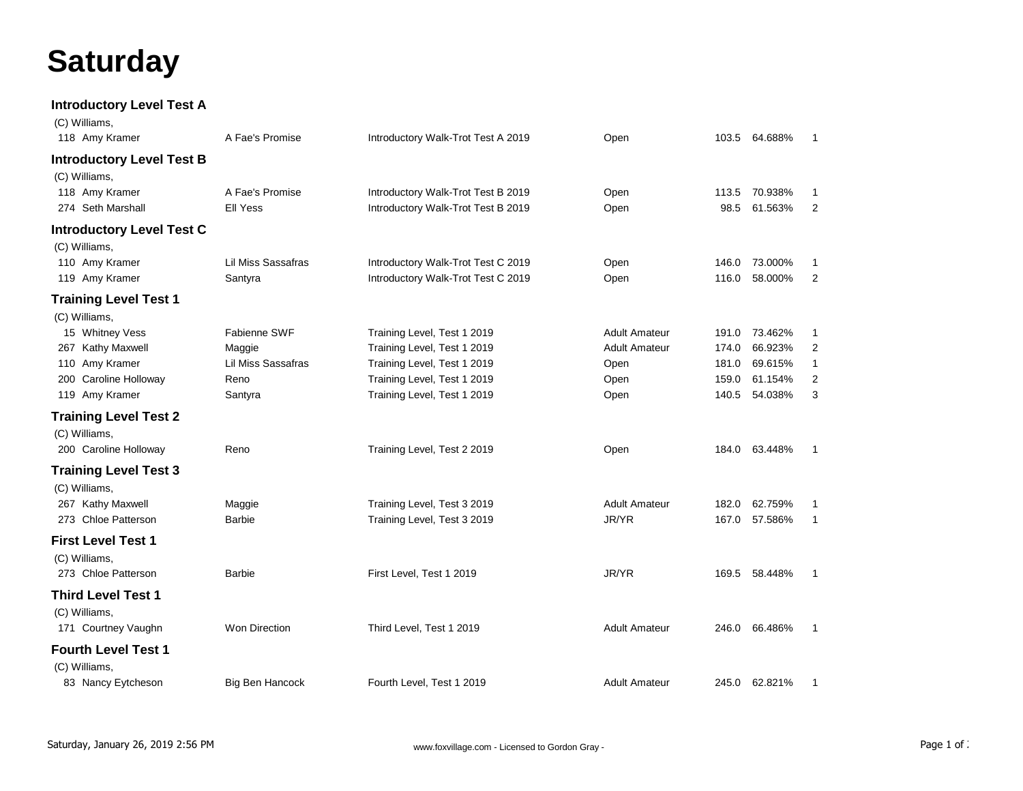## **Saturday**

## **Introductory Level Test A**

| (C) Williams,                                                       |                                      |                                                                          |                      |                |                    |                   |
|---------------------------------------------------------------------|--------------------------------------|--------------------------------------------------------------------------|----------------------|----------------|--------------------|-------------------|
| 118 Amy Kramer                                                      | A Fae's Promise                      | Introductory Walk-Trot Test A 2019                                       | Open                 |                | 103.5 64.688%      | -1                |
| <b>Introductory Level Test B</b><br>(C) Williams,<br>118 Amy Kramer | A Fae's Promise                      | Introductory Walk-Trot Test B 2019                                       | Open                 | 113.5          | 70.938%            | -1                |
| 274 Seth Marshall                                                   | Ell Yess                             | Introductory Walk-Trot Test B 2019                                       | Open                 | 98.5           | 61.563%            | $\overline{2}$    |
| <b>Introductory Level Test C</b>                                    |                                      |                                                                          |                      |                |                    |                   |
| (C) Williams,<br>110 Amy Kramer<br>119 Amy Kramer                   | <b>Lil Miss Sassafras</b><br>Santyra | Introductory Walk-Trot Test C 2019<br>Introductory Walk-Trot Test C 2019 | Open<br>Open         | 146.0<br>116.0 | 73.000%<br>58.000% | $\mathbf{1}$<br>2 |
| <b>Training Level Test 1</b>                                        |                                      |                                                                          |                      |                |                    |                   |
| (C) Williams,<br>15 Whitney Vess                                    | Fabienne SWF                         | Training Level, Test 1 2019                                              | <b>Adult Amateur</b> | 191.0          | 73.462%            | 1                 |
| 267 Kathy Maxwell                                                   | Maggie                               | Training Level, Test 1 2019                                              | <b>Adult Amateur</b> | 174.0          | 66.923%            | 2                 |
| 110 Amy Kramer                                                      | Lil Miss Sassafras                   | Training Level, Test 1 2019                                              | Open                 | 181.0          | 69.615%            | 1                 |
| 200 Caroline Holloway                                               | Reno                                 | Training Level, Test 1 2019                                              | Open                 | 159.0          | 61.154%            | 2                 |
| 119 Amy Kramer                                                      | Santyra                              | Training Level, Test 1 2019                                              | Open                 | 140.5          | 54.038%            | 3                 |
| <b>Training Level Test 2</b><br>(C) Williams,                       |                                      |                                                                          |                      |                |                    |                   |
| 200 Caroline Holloway                                               | Reno                                 | Training Level, Test 2 2019                                              | Open                 |                | 184.0 63.448%      | $\mathbf{1}$      |
| <b>Training Level Test 3</b><br>(C) Williams,                       |                                      |                                                                          |                      |                |                    |                   |
| 267 Kathy Maxwell                                                   | Maggie                               | Training Level, Test 3 2019                                              | <b>Adult Amateur</b> | 182.0          | 62.759%            | 1                 |
| 273 Chloe Patterson                                                 | <b>Barbie</b>                        | Training Level, Test 3 2019                                              | JR/YR                | 167.0          | 57.586%            | $\mathbf{1}$      |
| <b>First Level Test 1</b><br>(C) Williams,                          |                                      |                                                                          |                      |                |                    |                   |
| 273 Chloe Patterson                                                 | <b>Barbie</b>                        | First Level, Test 1 2019                                                 | JR/YR                | 169.5          | 58.448%            | $\mathbf{1}$      |
| <b>Third Level Test 1</b><br>(C) Williams,<br>171 Courtney Vaughn   | Won Direction                        | Third Level, Test 1 2019                                                 | <b>Adult Amateur</b> | 246.0          | 66.486%            | $\mathbf{1}$      |
| <b>Fourth Level Test 1</b><br>(C) Williams,                         |                                      |                                                                          |                      |                |                    |                   |
| 83 Nancy Eytcheson                                                  | Big Ben Hancock                      | Fourth Level, Test 1 2019                                                | <b>Adult Amateur</b> |                | 245.0 62.821%      | $\mathbf{1}$      |